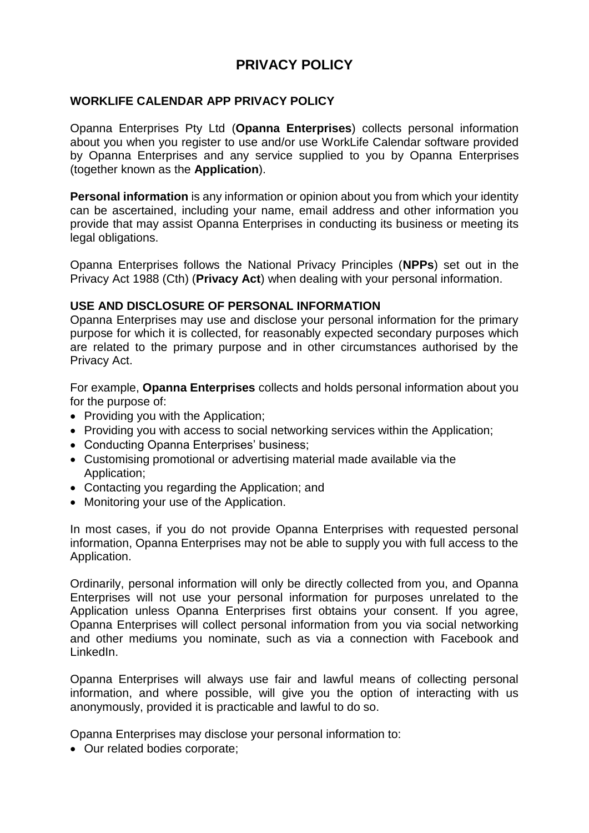# **PRIVACY POLICY**

## **WORKLIFE CALENDAR APP PRIVACY POLICY**

Opanna Enterprises Pty Ltd (**Opanna Enterprises**) collects personal information about you when you register to use and/or use WorkLife Calendar software provided by Opanna Enterprises and any service supplied to you by Opanna Enterprises (together known as the **Application**).

**Personal information** is any information or opinion about you from which your identity can be ascertained, including your name, email address and other information you provide that may assist Opanna Enterprises in conducting its business or meeting its legal obligations.

Opanna Enterprises follows the National Privacy Principles (**NPPs**) set out in the Privacy Act 1988 (Cth) (**Privacy Act**) when dealing with your personal information.

#### **USE AND DISCLOSURE OF PERSONAL INFORMATION**

Opanna Enterprises may use and disclose your personal information for the primary purpose for which it is collected, for reasonably expected secondary purposes which are related to the primary purpose and in other circumstances authorised by the Privacy Act.

For example, **Opanna Enterprises** collects and holds personal information about you for the purpose of:

- Providing you with the Application;
- Providing you with access to social networking services within the Application;
- Conducting Opanna Enterprises' business;
- Customising promotional or advertising material made available via the Application;
- Contacting you regarding the Application; and
- Monitoring your use of the Application.

In most cases, if you do not provide Opanna Enterprises with requested personal information, Opanna Enterprises may not be able to supply you with full access to the Application.

Ordinarily, personal information will only be directly collected from you, and Opanna Enterprises will not use your personal information for purposes unrelated to the Application unless Opanna Enterprises first obtains your consent. If you agree, Opanna Enterprises will collect personal information from you via social networking and other mediums you nominate, such as via a connection with Facebook and LinkedIn.

Opanna Enterprises will always use fair and lawful means of collecting personal information, and where possible, will give you the option of interacting with us anonymously, provided it is practicable and lawful to do so.

Opanna Enterprises may disclose your personal information to:

• Our related bodies corporate;